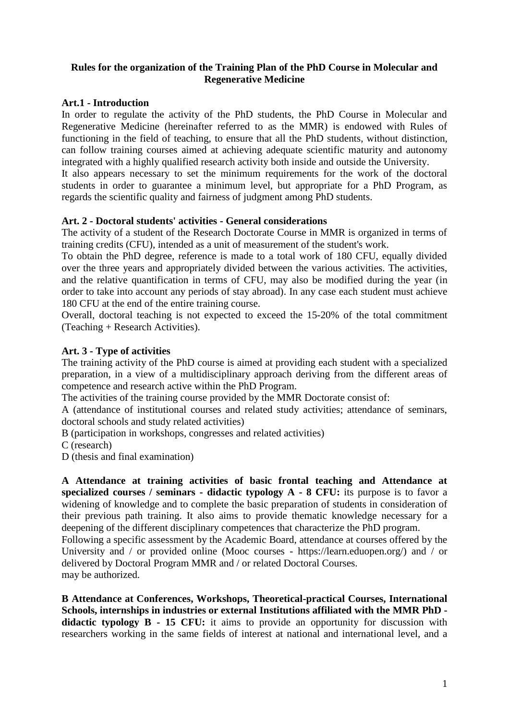# **Rules for the organization of the Training Plan of the PhD Course in Molecular and Regenerative Medicine**

# **Art.1 - Introduction**

In order to regulate the activity of the PhD students, the PhD Course in Molecular and Regenerative Medicine (hereinafter referred to as the MMR) is endowed with Rules of functioning in the field of teaching, to ensure that all the PhD students, without distinction, can follow training courses aimed at achieving adequate scientific maturity and autonomy integrated with a highly qualified research activity both inside and outside the University.

It also appears necessary to set the minimum requirements for the work of the doctoral students in order to guarantee a minimum level, but appropriate for a PhD Program, as regards the scientific quality and fairness of judgment among PhD students.

#### **Art. 2 - Doctoral students' activities - General considerations**

The activity of a student of the Research Doctorate Course in MMR is organized in terms of training credits (CFU), intended as a unit of measurement of the student's work.

To obtain the PhD degree, reference is made to a total work of 180 CFU, equally divided over the three years and appropriately divided between the various activities. The activities, and the relative quantification in terms of CFU, may also be modified during the year (in order to take into account any periods of stay abroad). In any case each student must achieve 180 CFU at the end of the entire training course.

Overall, doctoral teaching is not expected to exceed the 15-20% of the total commitment (Teaching + Research Activities).

# **Art. 3 - Type of activities**

The training activity of the PhD course is aimed at providing each student with a specialized preparation, in a view of a multidisciplinary approach deriving from the different areas of competence and research active within the PhD Program.

The activities of the training course provided by the MMR Doctorate consist of:

A (attendance of institutional courses and related study activities; attendance of seminars, doctoral schools and study related activities)

B (participation in workshops, congresses and related activities)

C (research)

D (thesis and final examination)

**A Attendance at training activities of basic frontal teaching and Attendance at specialized courses / seminars - didactic typology A - 8 CFU:** its purpose is to favor a widening of knowledge and to complete the basic preparation of students in consideration of their previous path training. It also aims to provide thematic knowledge necessary for a deepening of the different disciplinary competences that characterize the PhD program.

Following a specific assessment by the Academic Board, attendance at courses offered by the University and / or provided online (Mooc courses - https://learn.eduopen.org/) and / or delivered by Doctoral Program MMR and / or related Doctoral Courses. may be authorized.

**B Attendance at Conferences, Workshops, Theoretical-practical Courses, International Schools, internships in industries or external Institutions affiliated with the MMR PhD didactic typology B - 15 CFU:** it aims to provide an opportunity for discussion with researchers working in the same fields of interest at national and international level, and a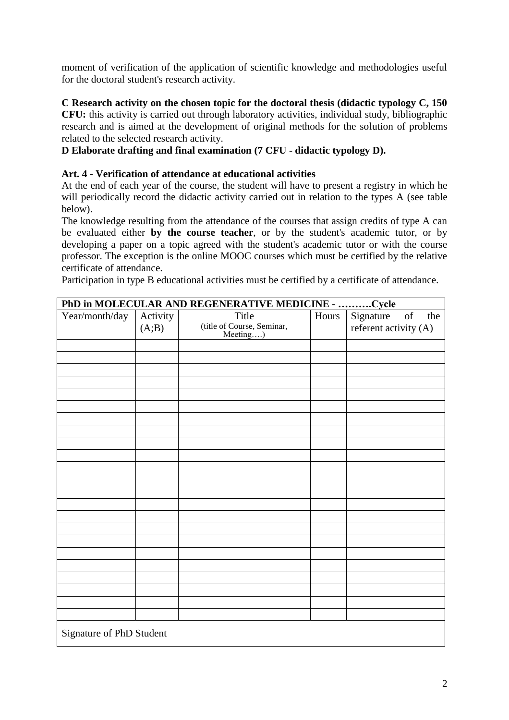moment of verification of the application of scientific knowledge and methodologies useful for the doctoral student's research activity.

#### **C Research activity on the chosen topic for the doctoral thesis (didactic typology C, 150 CFU:** this activity is carried out through laboratory activities, individual study, bibliographic research and is aimed at the development of original methods for the solution of problems related to the selected research activity.

**D Elaborate drafting and final examination (7 CFU - didactic typology D).**

# **Art. 4 - Verification of attendance at educational activities**

At the end of each year of the course, the student will have to present a registry in which he will periodically record the didactic activity carried out in relation to the types A (see table below).

The knowledge resulting from the attendance of the courses that assign credits of type A can be evaluated either **by the course teacher**, or by the student's academic tutor, or by developing a paper on a topic agreed with the student's academic tutor or with the course professor. The exception is the online MOOC courses which must be certified by the relative certificate of attendance.

Participation in type B educational activities must be certified by a certificate of attendance.

| PhD in MOLECULAR AND REGENERATIVE MEDICINE - Cycle |                   |                                                 |  |                                                                                                                                                       |
|----------------------------------------------------|-------------------|-------------------------------------------------|--|-------------------------------------------------------------------------------------------------------------------------------------------------------|
| Year/month/day                                     | Activity<br>(A;B) | Title<br>(title of Course, Seminar,<br>Meeting) |  | Hours Signature<br>$% \left( \left( \mathcal{A},\mathcal{A}\right) \right) =\left( \mathcal{A},\mathcal{A}\right)$ of<br>the<br>referent activity (A) |
|                                                    |                   |                                                 |  |                                                                                                                                                       |
|                                                    |                   |                                                 |  |                                                                                                                                                       |
|                                                    |                   |                                                 |  |                                                                                                                                                       |
|                                                    |                   |                                                 |  |                                                                                                                                                       |
|                                                    |                   |                                                 |  |                                                                                                                                                       |
|                                                    |                   |                                                 |  |                                                                                                                                                       |
|                                                    |                   |                                                 |  |                                                                                                                                                       |
|                                                    |                   |                                                 |  |                                                                                                                                                       |
|                                                    |                   |                                                 |  |                                                                                                                                                       |
|                                                    |                   |                                                 |  |                                                                                                                                                       |
|                                                    |                   |                                                 |  |                                                                                                                                                       |
|                                                    |                   |                                                 |  |                                                                                                                                                       |
|                                                    |                   |                                                 |  |                                                                                                                                                       |
|                                                    |                   |                                                 |  |                                                                                                                                                       |
|                                                    |                   |                                                 |  |                                                                                                                                                       |
|                                                    |                   |                                                 |  |                                                                                                                                                       |
|                                                    |                   |                                                 |  |                                                                                                                                                       |
|                                                    |                   |                                                 |  |                                                                                                                                                       |
|                                                    |                   |                                                 |  |                                                                                                                                                       |
|                                                    |                   |                                                 |  |                                                                                                                                                       |
|                                                    |                   |                                                 |  |                                                                                                                                                       |
|                                                    |                   |                                                 |  |                                                                                                                                                       |
| Signature of PhD Student                           |                   |                                                 |  |                                                                                                                                                       |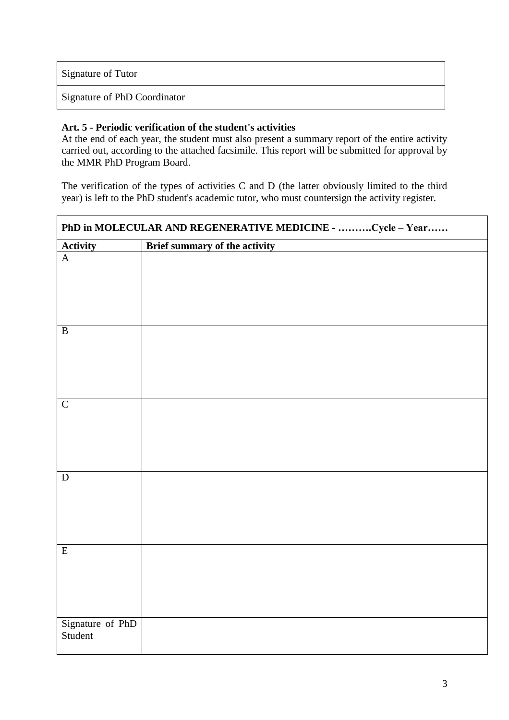Signature of Tutor

Signature of PhD Coordinator

#### **Art. 5 - Periodic verification of the student's activities**

At the end of each year, the student must also present a summary report of the entire activity carried out, according to the attached facsimile. This report will be submitted for approval by the MMR PhD Program Board.

The verification of the types of activities C and D (the latter obviously limited to the third year) is left to the PhD student's academic tutor, who must countersign the activity register.

| PhD in MOLECULAR AND REGENERATIVE MEDICINE - Cycle - Year |                               |  |
|-----------------------------------------------------------|-------------------------------|--|
| Activity                                                  | Brief summary of the activity |  |
| $\overline{A}$                                            |                               |  |
| $\, {\bf B}$                                              |                               |  |
| $\overline{C}$                                            |                               |  |
| ${\bf D}$                                                 |                               |  |
| $\overline{E}$                                            |                               |  |
| Signature of PhD<br>Student                               |                               |  |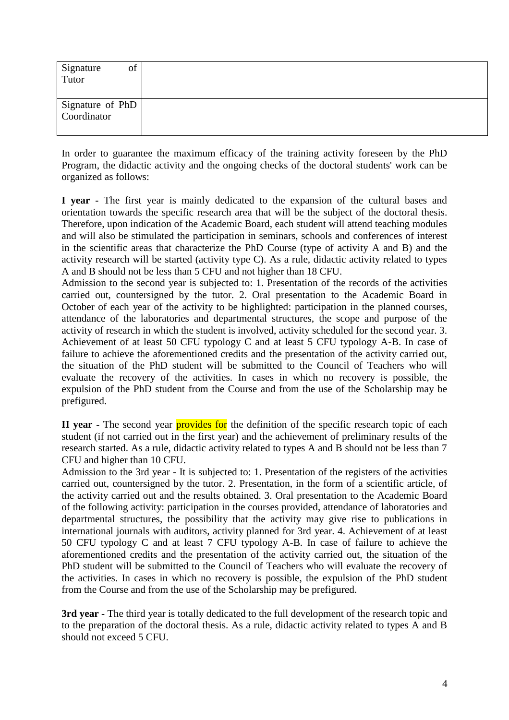| Signature<br>Tutor<br>of        |  |
|---------------------------------|--|
| Signature of PhD<br>Coordinator |  |

In order to guarantee the maximum efficacy of the training activity foreseen by the PhD Program, the didactic activity and the ongoing checks of the doctoral students' work can be organized as follows:

**I year -** The first year is mainly dedicated to the expansion of the cultural bases and orientation towards the specific research area that will be the subject of the doctoral thesis. Therefore, upon indication of the Academic Board, each student will attend teaching modules and will also be stimulated the participation in seminars, schools and conferences of interest in the scientific areas that characterize the PhD Course (type of activity A and B) and the activity research will be started (activity type C). As a rule, didactic activity related to types A and B should not be less than 5 CFU and not higher than 18 CFU.

Admission to the second year is subjected to: 1. Presentation of the records of the activities carried out, countersigned by the tutor. 2. Oral presentation to the Academic Board in October of each year of the activity to be highlighted: participation in the planned courses, attendance of the laboratories and departmental structures, the scope and purpose of the activity of research in which the student is involved, activity scheduled for the second year. 3. Achievement of at least 50 CFU typology C and at least 5 CFU typology A-B. In case of failure to achieve the aforementioned credits and the presentation of the activity carried out, the situation of the PhD student will be submitted to the Council of Teachers who will evaluate the recovery of the activities. In cases in which no recovery is possible, the expulsion of the PhD student from the Course and from the use of the Scholarship may be prefigured.

**II year** - The second year **provides for** the definition of the specific research topic of each student (if not carried out in the first year) and the achievement of preliminary results of the research started. As a rule, didactic activity related to types A and B should not be less than 7 CFU and higher than 10 CFU.

Admission to the 3rd year - It is subjected to: 1. Presentation of the registers of the activities carried out, countersigned by the tutor. 2. Presentation, in the form of a scientific article, of the activity carried out and the results obtained. 3. Oral presentation to the Academic Board of the following activity: participation in the courses provided, attendance of laboratories and departmental structures, the possibility that the activity may give rise to publications in international journals with auditors, activity planned for 3rd year. 4. Achievement of at least 50 CFU typology C and at least 7 CFU typology A-B. In case of failure to achieve the aforementioned credits and the presentation of the activity carried out, the situation of the PhD student will be submitted to the Council of Teachers who will evaluate the recovery of the activities. In cases in which no recovery is possible, the expulsion of the PhD student from the Course and from the use of the Scholarship may be prefigured.

**3rd year -** The third year is totally dedicated to the full development of the research topic and to the preparation of the doctoral thesis. As a rule, didactic activity related to types A and B should not exceed 5 CFU.